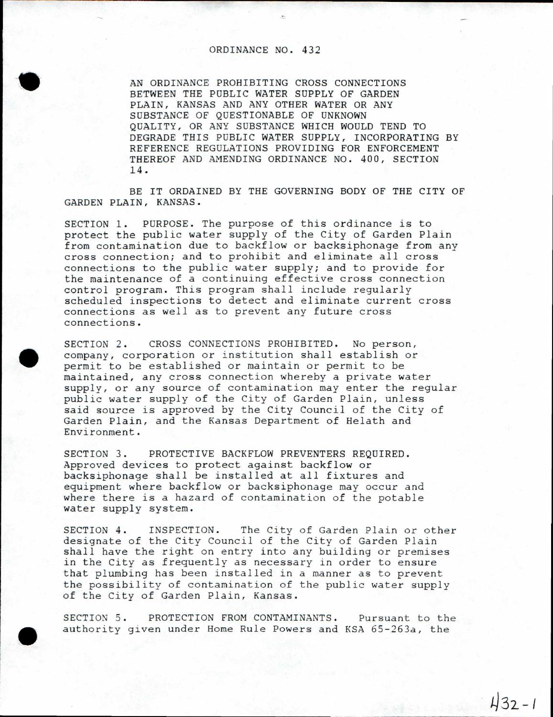AN ORDINANCE PROHIBITING CROSS CONNECTIONS BETWEEN THE PUBLIC WATER SUPPLY OF GARDEN PLAIN, KANSAS AND ANY OTHER WATER OR ANY SUBSTANCE OF QUESTIONABLE OF UNKNOWN QUALITY, OR ANY SUBSTANCE WHICH WOULD TEND TO DEGRADE THIS PUBLIC WATER SUPPLY, INCORPORATING BY REFERENCE REGULATIONS PROVIDING FOR ENFORCEMENT THEREOF AND AMENDING ORDINANCE NO. 400, SECTION 14.

BE IT ORDAINED BY THE GOVERNING BODY OF THE CITY OF GARDEN PLAIN, KANSAS.

SECTION 1. PURPOSE. The purpose of this ordinance is to protect the public water supply of the City of Garden Plain from contamination due to backflow or backsiphonage from any cross connection; and to prohibit and eliminate all cross connections to the public water supply; and to provide for the maintenance of a continuing effective cross connection control program. This program shall include regularly scheduled inspections to detect and eliminate current cross connections as well as to prevent any future cross connections.

SECTION 2. CROSS CONNECTIONS PROHIBITED. No person, **411** company, corporation or institution shall establish or permit to be established or maintain or permit to be maintained, any cross connection whereby a private water supply, or any source of contamination may enter the regular public water supply of the City of Garden Plain, unless said source is approved by the City Council of the City of Garden Plain, and the Kansas Department of Helath and Environment.

SECTION 3. PROTECTIVE BACKFLOW PREVENTERS REQUIRED. Approved devices to protect against backflow or backsiphonage shall be installed at all fixtures and equipment where backflow or backsiphonage may occur and where there is a hazard of contamination of the potable water supply system.

SECTION 4. INSPECTION. The City of Garden Plain or other designate of the City Council of the City of Garden Plain shall have the right on entry into any building or premises in the City as frequently as necessary in order to ensure that plumbing has been installed in a manner as to prevent the possibility of contamination of the public water supply of the City of Garden Plain, Kansas.

SECTION 5. PROTECTION FROM CONTAMINANTS. Pursuant to the authority given under Home Rule Powers and KSA 65-263a, the